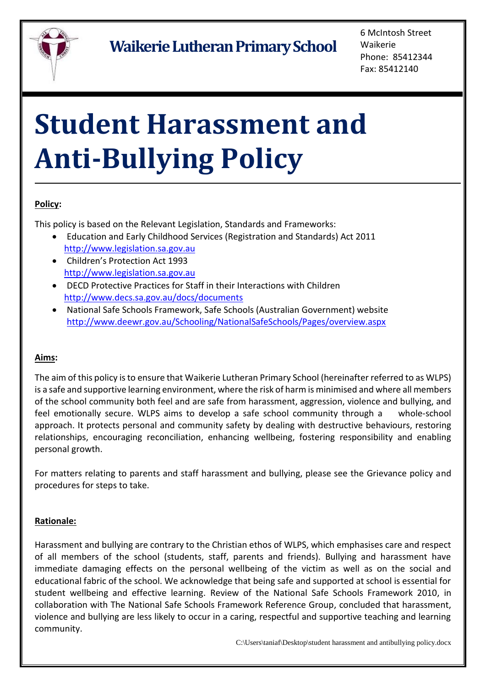

6 McIntosh Street Waikerie Phone: 85412344 Fax: 85412140

# **Student Harassment and Anti-Bullying Policy**

## **Policy:**

This policy is based on the Relevant Legislation, Standards and Frameworks:

- Education and Early Childhood Services (Registration and Standards) Act 2011 [http://www.legislation.sa.gov.au](http://www.legislation.sa.gov.au/)
- Children's Protection Act 1993 [http://www.legislation.sa.gov.au](http://www.legislation.sa.gov.au/)
- DECD Protective Practices for Staff in their Interactions with Children <http://www.decs.sa.gov.au/docs/documents>
- National Safe Schools Framework, Safe Schools (Australian Government) website <http://www.deewr.gov.au/Schooling/NationalSafeSchools/Pages/overview.aspx>

## **Aims:**

The aim of this policy is to ensure that Waikerie Lutheran Primary School (hereinafter referred to as WLPS) is a safe and supportive learning environment, where the risk of harm is minimised and where all members of the school community both feel and are safe from harassment, aggression, violence and bullying, and feel emotionally secure. WLPS aims to develop a safe school community through a whole-school approach. It protects personal and community safety by dealing with destructive behaviours, restoring relationships, encouraging reconciliation, enhancing wellbeing, fostering responsibility and enabling personal growth.

For matters relating to parents and staff harassment and bullying, please see the Grievance policy and procedures for steps to take.

## **Rationale:**

Harassment and bullying are contrary to the Christian ethos of WLPS, which emphasises care and respect of all members of the school (students, staff, parents and friends). Bullying and harassment have immediate damaging effects on the personal wellbeing of the victim as well as on the social and educational fabric of the school. We acknowledge that being safe and supported at school is essential for student wellbeing and effective learning. Review of the National Safe Schools Framework 2010, in collaboration with The National Safe Schools Framework Reference Group, concluded that harassment, violence and bullying are less likely to occur in a caring, respectful and supportive teaching and learning community.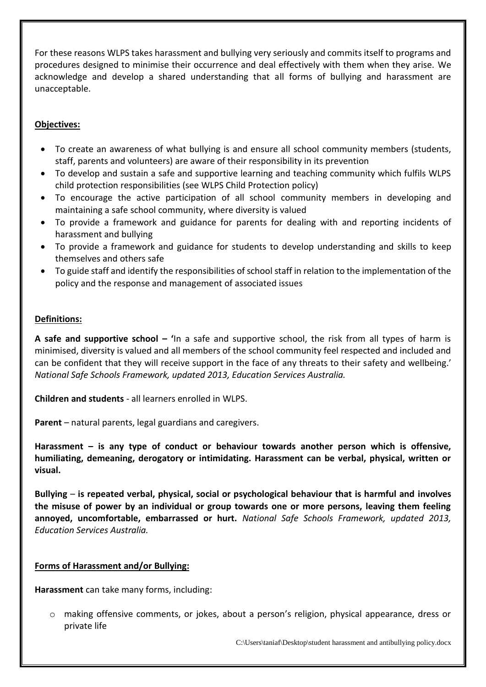For these reasons WLPS takes harassment and bullying very seriously and commits itself to programs and procedures designed to minimise their occurrence and deal effectively with them when they arise. We acknowledge and develop a shared understanding that all forms of bullying and harassment are unacceptable.

## **Objectives:**

- To create an awareness of what bullying is and ensure all school community members (students, staff, parents and volunteers) are aware of their responsibility in its prevention
- To develop and sustain a safe and supportive learning and teaching community which fulfils WLPS child protection responsibilities (see WLPS Child Protection policy)
- To encourage the active participation of all school community members in developing and maintaining a safe school community, where diversity is valued
- To provide a framework and guidance for parents for dealing with and reporting incidents of harassment and bullying
- To provide a framework and guidance for students to develop understanding and skills to keep themselves and others safe
- To guide staff and identify the responsibilities of school staff in relation to the implementation of the policy and the response and management of associated issues

#### **Definitions:**

**A safe and supportive school – '**In a safe and supportive school, the risk from all types of harm is minimised, diversity is valued and all members of the school community feel respected and included and can be confident that they will receive support in the face of any threats to their safety and wellbeing.' *National Safe Schools Framework, updated 2013, Education Services Australia.* 

**Children and students** - all learners enrolled in WLPS.

**Parent** – natural parents, legal guardians and caregivers.

**Harassment – is any type of conduct or behaviour towards another person which is offensive, humiliating, demeaning, derogatory or intimidating. Harassment can be verbal, physical, written or visual.**

**Bullying** – **is repeated verbal, physical, social or psychological behaviour that is harmful and involves the misuse of power by an individual or group towards one or more persons, leaving them feeling annoyed, uncomfortable, embarrassed or hurt.** *National Safe Schools Framework, updated 2013, Education Services Australia.* 

#### **Forms of Harassment and/or Bullying:**

**Harassment** can take many forms, including:

o making offensive comments, or jokes, about a person's religion, physical appearance, dress or private life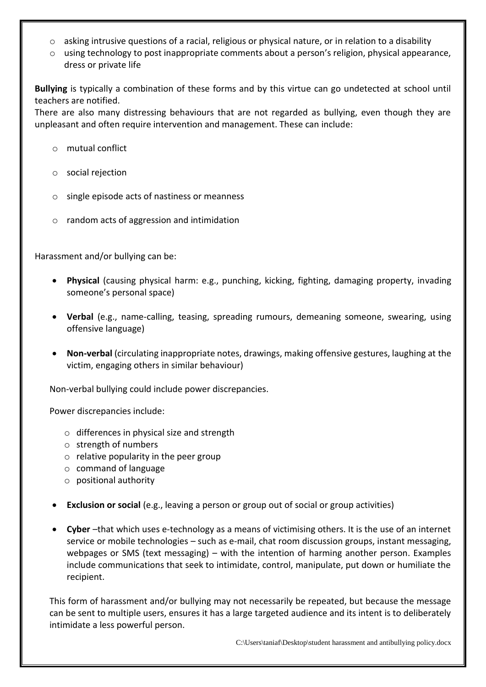- $\circ$  asking intrusive questions of a racial, religious or physical nature, or in relation to a disability
- o using technology to post inappropriate comments about a person's religion, physical appearance, dress or private life

**Bullying** is typically a combination of these forms and by this virtue can go undetected at school until teachers are notified.

There are also many distressing behaviours that are not regarded as bullying, even though they are unpleasant and often require intervention and management. These can include:

- o mutual conflict
- o social rejection
- o single episode acts of nastiness or meanness
- o random acts of aggression and intimidation

Harassment and/or bullying can be:

- **Physical** (causing physical harm: e.g., punching, kicking, fighting, damaging property, invading someone's personal space)
- **Verbal** (e.g., name-calling, teasing, spreading rumours, demeaning someone, swearing, using offensive language)
- **Non-verbal** (circulating inappropriate notes, drawings, making offensive gestures, laughing at the victim, engaging others in similar behaviour)

Non-verbal bullying could include power discrepancies.

Power discrepancies include:

- o differences in physical size and strength
- o strength of numbers
- $\circ$  relative popularity in the peer group
- o command of language
- o positional authority
- **Exclusion or social** (e.g., leaving a person or group out of social or group activities)
- **Cyber** –that which uses e-technology as a means of victimising others. It is the use of an internet service or mobile technologies – such as e-mail, chat room discussion groups, instant messaging, webpages or SMS (text messaging) – with the intention of harming another person. Examples include communications that seek to intimidate, control, manipulate, put down or humiliate the recipient.

This form of harassment and/or bullying may not necessarily be repeated, but because the message can be sent to multiple users, ensures it has a large targeted audience and its intent is to deliberately intimidate a less powerful person.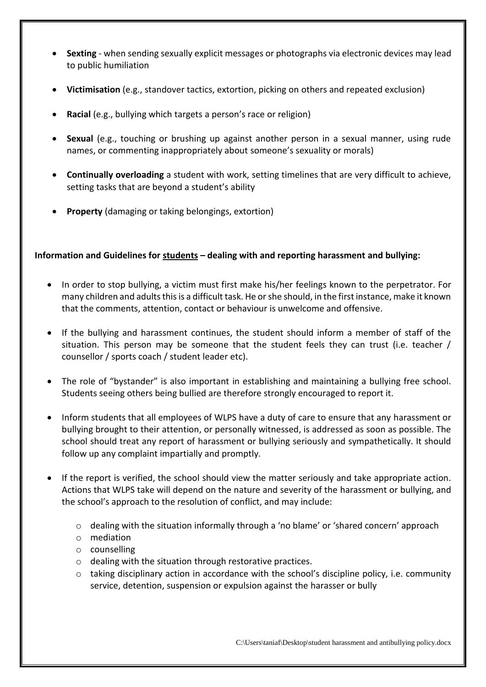- **Sexting**  when sending sexually explicit messages or photographs via electronic devices may lead to public humiliation
- **Victimisation** (e.g., standover tactics, extortion, picking on others and repeated exclusion)
- **Racial** (e.g., bullying which targets a person's race or religion)
- **Sexual** (e.g., touching or brushing up against another person in a sexual manner, using rude names, or commenting inappropriately about someone's sexuality or morals)
- **Continually overloading** a student with work, setting timelines that are very difficult to achieve, setting tasks that are beyond a student's ability
- **Property** (damaging or taking belongings, extortion)

## **Information and Guidelines for students – dealing with and reporting harassment and bullying:**

- In order to stop bullying, a victim must first make his/her feelings known to the perpetrator. For many children and adults this is a difficult task. He or she should, in the first instance, make it known that the comments, attention, contact or behaviour is unwelcome and offensive.
- If the bullying and harassment continues, the student should inform a member of staff of the situation. This person may be someone that the student feels they can trust (i.e. teacher / counsellor / sports coach / student leader etc).
- The role of "bystander" is also important in establishing and maintaining a bullying free school. Students seeing others being bullied are therefore strongly encouraged to report it.
- Inform students that all employees of WLPS have a duty of care to ensure that any harassment or bullying brought to their attention, or personally witnessed, is addressed as soon as possible. The school should treat any report of harassment or bullying seriously and sympathetically. It should follow up any complaint impartially and promptly.
- If the report is verified, the school should view the matter seriously and take appropriate action. Actions that WLPS take will depend on the nature and severity of the harassment or bullying, and the school's approach to the resolution of conflict, and may include:
	- $\circ$  dealing with the situation informally through a 'no blame' or 'shared concern' approach
	- o mediation
	- o counselling
	- o dealing with the situation through restorative practices.
	- $\circ$  taking disciplinary action in accordance with the school's discipline policy, i.e. community service, detention, suspension or expulsion against the harasser or bully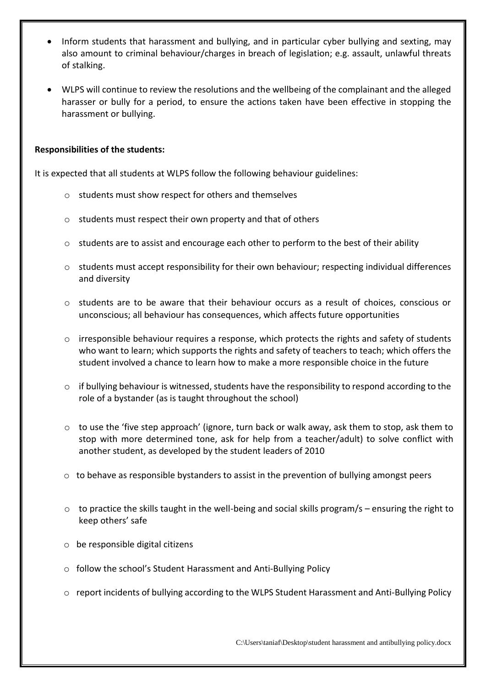- Inform students that harassment and bullying, and in particular cyber bullying and sexting, may also amount to criminal behaviour/charges in breach of legislation; e.g. assault, unlawful threats of stalking.
- WLPS will continue to review the resolutions and the wellbeing of the complainant and the alleged harasser or bully for a period, to ensure the actions taken have been effective in stopping the harassment or bullying.

#### **Responsibilities of the students:**

It is expected that all students at WLPS follow the following behaviour guidelines:

- o students must show respect for others and themselves
- o students must respect their own property and that of others
- $\circ$  students are to assist and encourage each other to perform to the best of their ability
- $\circ$  students must accept responsibility for their own behaviour; respecting individual differences and diversity
- o students are to be aware that their behaviour occurs as a result of choices, conscious or unconscious; all behaviour has consequences, which affects future opportunities
- $\circ$  irresponsible behaviour requires a response, which protects the rights and safety of students who want to learn; which supports the rights and safety of teachers to teach; which offers the student involved a chance to learn how to make a more responsible choice in the future
- $\circ$  if bullying behaviour is witnessed, students have the responsibility to respond according to the role of a bystander (as is taught throughout the school)
- o to use the 'five step approach' (ignore, turn back or walk away, ask them to stop, ask them to stop with more determined tone, ask for help from a teacher/adult) to solve conflict with another student, as developed by the student leaders of 2010
- $\circ$  to behave as responsible bystanders to assist in the prevention of bullying amongst peers
- $\circ$  to practice the skills taught in the well-being and social skills program/s ensuring the right to keep others' safe
- o be responsible digital citizens
- o follow the school's Student Harassment and Anti-Bullying Policy
- o report incidents of bullying according to the WLPS Student Harassment and Anti-Bullying Policy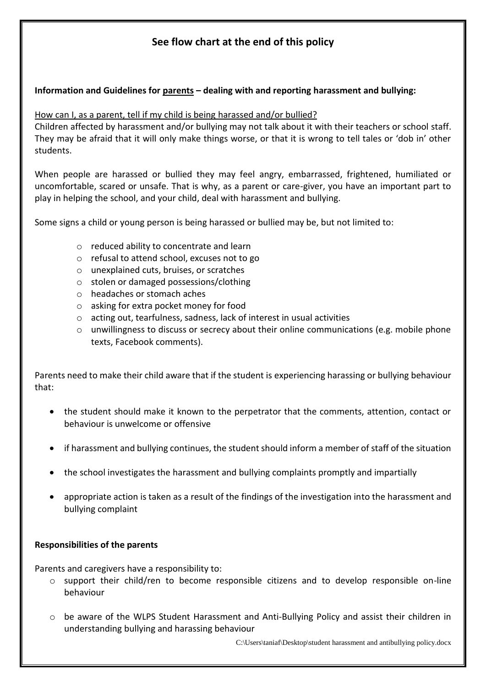# **See flow chart at the end of this policy**

## **Information and Guidelines for parents – dealing with and reporting harassment and bullying:**

#### How can I, as a parent, tell if my child is being harassed and/or bullied?

Children affected by harassment and/or bullying may not talk about it with their teachers or school staff. They may be afraid that it will only make things worse, or that it is wrong to tell tales or 'dob in' other students.

When people are harassed or bullied they may feel angry, embarrassed, frightened, humiliated or uncomfortable, scared or unsafe. That is why, as a parent or care-giver, you have an important part to play in helping the school, and your child, deal with harassment and bullying.

Some signs a child or young person is being harassed or bullied may be, but not limited to:

- o reduced ability to concentrate and learn
- o refusal to attend school, excuses not to go
- o unexplained cuts, bruises, or scratches
- o stolen or damaged possessions/clothing
- o headaches or stomach aches
- o asking for extra pocket money for food
- o acting out, tearfulness, sadness, lack of interest in usual activities
- $\circ$  unwillingness to discuss or secrecy about their online communications (e.g. mobile phone texts, Facebook comments).

Parents need to make their child aware that if the student is experiencing harassing or bullying behaviour that:

- the student should make it known to the perpetrator that the comments, attention, contact or behaviour is unwelcome or offensive
- if harassment and bullying continues, the student should inform a member of staff of the situation
- the school investigates the harassment and bullying complaints promptly and impartially
- appropriate action is taken as a result of the findings of the investigation into the harassment and bullying complaint

#### **Responsibilities of the parents**

Parents and caregivers have a responsibility to:

- o support their child/ren to become responsible citizens and to develop responsible on-line behaviour
- o be aware of the WLPS Student Harassment and Anti-Bullying Policy and assist their children in understanding bullying and harassing behaviour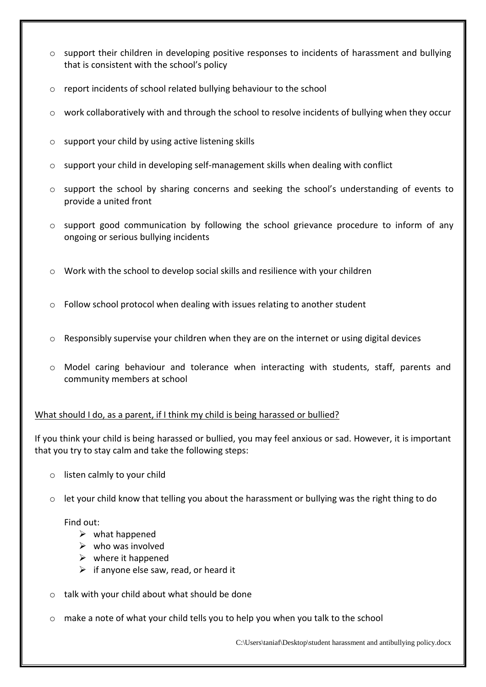- o support their children in developing positive responses to incidents of harassment and bullying that is consistent with the school's policy
- o report incidents of school related bullying behaviour to the school
- $\circ$  work collaboratively with and through the school to resolve incidents of bullying when they occur
- o support your child by using active listening skills
- o support your child in developing self-management skills when dealing with conflict
- o support the school by sharing concerns and seeking the school's understanding of events to provide a united front
- $\circ$  support good communication by following the school grievance procedure to inform of any ongoing or serious bullying incidents
- o Work with the school to develop social skills and resilience with your children
- $\circ$  Follow school protocol when dealing with issues relating to another student
- $\circ$  Responsibly supervise your children when they are on the internet or using digital devices
- o Model caring behaviour and tolerance when interacting with students, staff, parents and community members at school

## What should I do, as a parent, if I think my child is being harassed or bullied?

If you think your child is being harassed or bullied, you may feel anxious or sad. However, it is important that you try to stay calm and take the following steps:

- o listen calmly to your child
- o let your child know that telling you about the harassment or bullying was the right thing to do

#### Find out:

- $\triangleright$  what happened
- $\triangleright$  who was involved
- $\triangleright$  where it happened
- $\triangleright$  if anyone else saw, read, or heard it
- o talk with your child about what should be done
- $\circ$  make a note of what your child tells you to help you when you talk to the school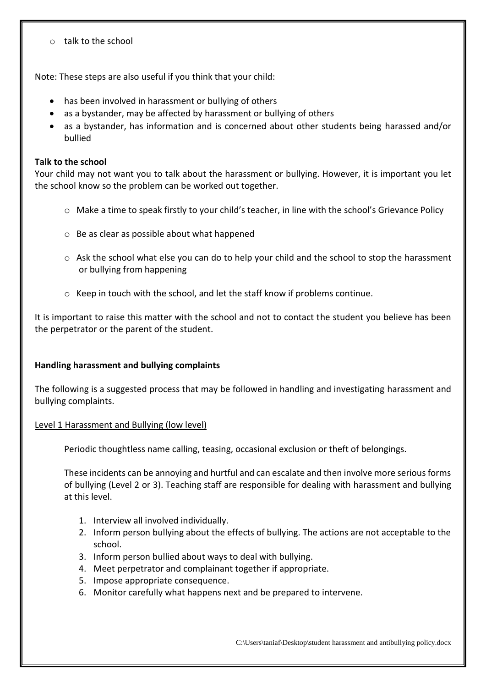o talk to the school

Note: These steps are also useful if you think that your child:

- has been involved in harassment or bullying of others
- as a bystander, may be affected by harassment or bullying of others
- as a bystander, has information and is concerned about other students being harassed and/or bullied

#### **Talk to the school**

Your child may not want you to talk about the harassment or bullying. However, it is important you let the school know so the problem can be worked out together.

- o Make a time to speak firstly to your child's teacher, in line with the school's Grievance Policy
- o Be as clear as possible about what happened
- o Ask the school what else you can do to help your child and the school to stop the harassment or bullying from happening
- o Keep in touch with the school, and let the staff know if problems continue.

It is important to raise this matter with the school and not to contact the student you believe has been the perpetrator or the parent of the student.

#### **Handling harassment and bullying complaints**

The following is a suggested process that may be followed in handling and investigating harassment and bullying complaints.

#### Level 1 Harassment and Bullying (low level)

Periodic thoughtless name calling, teasing, occasional exclusion or theft of belongings.

These incidents can be annoying and hurtful and can escalate and then involve more serious forms of bullying (Level 2 or 3). Teaching staff are responsible for dealing with harassment and bullying at this level.

- 1. Interview all involved individually.
- 2. Inform person bullying about the effects of bullying. The actions are not acceptable to the school.
- 3. Inform person bullied about ways to deal with bullying.
- 4. Meet perpetrator and complainant together if appropriate.
- 5. Impose appropriate consequence.
- 6. Monitor carefully what happens next and be prepared to intervene.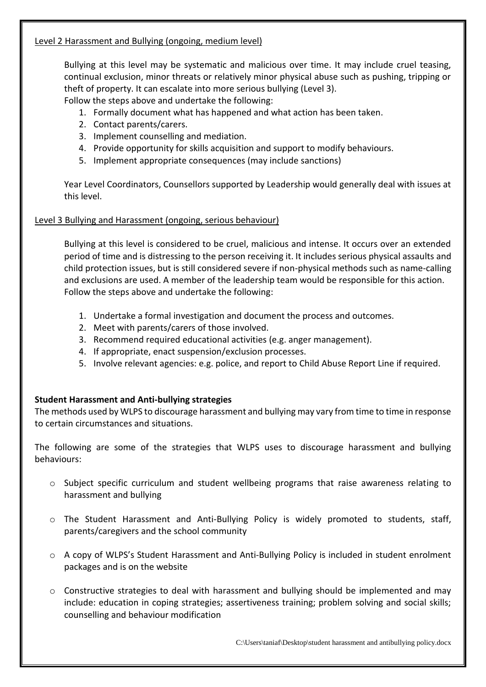## Level 2 Harassment and Bullying (ongoing, medium level)

Bullying at this level may be systematic and malicious over time. It may include cruel teasing, continual exclusion, minor threats or relatively minor physical abuse such as pushing, tripping or theft of property. It can escalate into more serious bullying (Level 3).

Follow the steps above and undertake the following:

- 1. Formally document what has happened and what action has been taken.
- 2. Contact parents/carers.
- 3. Implement counselling and mediation.
- 4. Provide opportunity for skills acquisition and support to modify behaviours.
- 5. Implement appropriate consequences (may include sanctions)

Year Level Coordinators, Counsellors supported by Leadership would generally deal with issues at this level.

## Level 3 Bullying and Harassment (ongoing, serious behaviour)

Bullying at this level is considered to be cruel, malicious and intense. It occurs over an extended period of time and is distressing to the person receiving it. It includes serious physical assaults and child protection issues, but is still considered severe if non-physical methods such as name-calling and exclusions are used. A member of the leadership team would be responsible for this action. Follow the steps above and undertake the following:

- 1. Undertake a formal investigation and document the process and outcomes.
- 2. Meet with parents/carers of those involved.
- 3. Recommend required educational activities (e.g. anger management).
- 4. If appropriate, enact suspension/exclusion processes.
- 5. Involve relevant agencies: e.g. police, and report to Child Abuse Report Line if required.

## **Student Harassment and Anti-bullying strategies**

The methods used by WLPS to discourage harassment and bullying may vary from time to time in response to certain circumstances and situations.

The following are some of the strategies that WLPS uses to discourage harassment and bullying behaviours:

- o Subject specific curriculum and student wellbeing programs that raise awareness relating to harassment and bullying
- o The Student Harassment and Anti-Bullying Policy is widely promoted to students, staff, parents/caregivers and the school community
- o A copy of WLPS's Student Harassment and Anti-Bullying Policy is included in student enrolment packages and is on the website
- $\circ$  Constructive strategies to deal with harassment and bullying should be implemented and may include: education in coping strategies; assertiveness training; problem solving and social skills; counselling and behaviour modification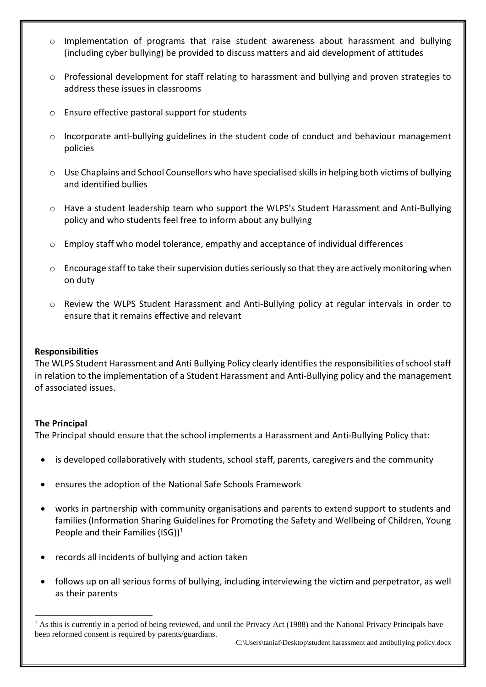- $\circ$  Implementation of programs that raise student awareness about harassment and bullying (including cyber bullying) be provided to discuss matters and aid development of attitudes
- $\circ$  Professional development for staff relating to harassment and bullying and proven strategies to address these issues in classrooms
- o Ensure effective pastoral support for students
- $\circ$  Incorporate anti-bullying guidelines in the student code of conduct and behaviour management policies
- o Use Chaplains and School Counsellors who have specialised skills in helping both victims of bullying and identified bullies
- o Have a student leadership team who support the WLPS's Student Harassment and Anti-Bullying policy and who students feel free to inform about any bullying
- $\circ$  Employ staff who model tolerance, empathy and acceptance of individual differences
- $\circ$  Encourage staff to take their supervision duties seriously so that they are actively monitoring when on duty
- o Review the WLPS Student Harassment and Anti-Bullying policy at regular intervals in order to ensure that it remains effective and relevant

#### **Responsibilities**

The WLPS Student Harassment and Anti Bullying Policy clearly identifies the responsibilities of school staff in relation to the implementation of a Student Harassment and Anti-Bullying policy and the management of associated issues.

#### **The Principal**

 $\overline{a}$ 

The Principal should ensure that the school implements a Harassment and Anti-Bullying Policy that:

- is developed collaboratively with students, school staff, parents, caregivers and the community
- ensures the adoption of the National Safe Schools Framework
- works in partnership with community organisations and parents to extend support to students and families (Information Sharing Guidelines for Promoting the Safety and Wellbeing of Children, Young People and their Families (ISG))<sup>1</sup>
- records all incidents of bullying and action taken
- follows up on all serious forms of bullying, including interviewing the victim and perpetrator, as well as their parents

<sup>&</sup>lt;sup>1</sup> As this is currently in a period of being reviewed, and until the Privacy Act (1988) and the National Privacy Principals have been reformed consent is required by parents/guardians.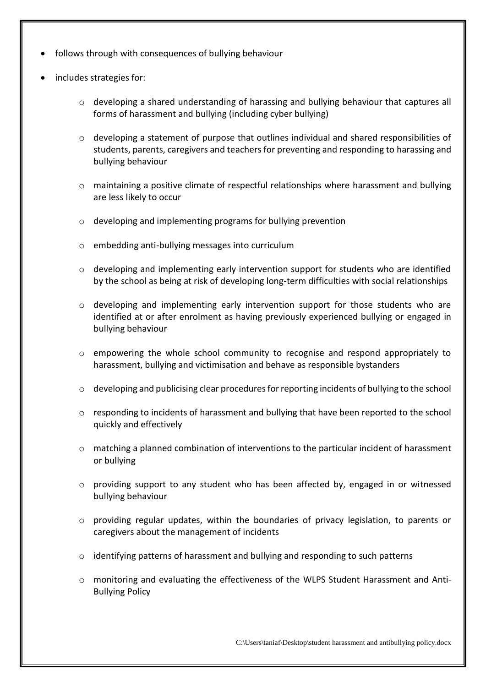- follows through with consequences of bullying behaviour
- includes strategies for:
	- o developing a shared understanding of harassing and bullying behaviour that captures all forms of harassment and bullying (including cyber bullying)
	- o developing a statement of purpose that outlines individual and shared responsibilities of students, parents, caregivers and teachers for preventing and responding to harassing and bullying behaviour
	- $\circ$  maintaining a positive climate of respectful relationships where harassment and bullying are less likely to occur
	- o developing and implementing programs for bullying prevention
	- o embedding anti-bullying messages into curriculum
	- $\circ$  developing and implementing early intervention support for students who are identified by the school as being at risk of developing long-term difficulties with social relationships
	- o developing and implementing early intervention support for those students who are identified at or after enrolment as having previously experienced bullying or engaged in bullying behaviour
	- $\circ$  empowering the whole school community to recognise and respond appropriately to harassment, bullying and victimisation and behave as responsible bystanders
	- $\circ$  developing and publicising clear procedures for reporting incidents of bullying to the school
	- $\circ$  responding to incidents of harassment and bullying that have been reported to the school quickly and effectively
	- $\circ$  matching a planned combination of interventions to the particular incident of harassment or bullying
	- o providing support to any student who has been affected by, engaged in or witnessed bullying behaviour
	- $\circ$  providing regular updates, within the boundaries of privacy legislation, to parents or caregivers about the management of incidents
	- $\circ$  identifying patterns of harassment and bullying and responding to such patterns
	- o monitoring and evaluating the effectiveness of the WLPS Student Harassment and Anti-Bullying Policy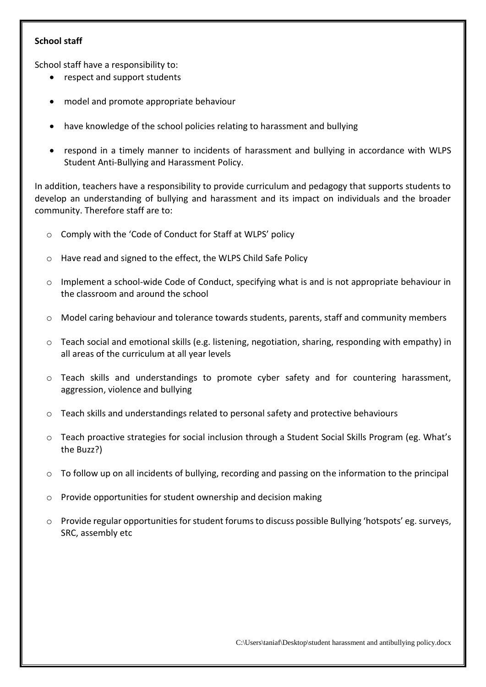## **School staff**

School staff have a responsibility to:

- respect and support students
- model and promote appropriate behaviour
- have knowledge of the school policies relating to harassment and bullying
- respond in a timely manner to incidents of harassment and bullying in accordance with WLPS Student Anti-Bullying and Harassment Policy.

In addition, teachers have a responsibility to provide curriculum and pedagogy that supports students to develop an understanding of bullying and harassment and its impact on individuals and the broader community. Therefore staff are to:

- o Comply with the 'Code of Conduct for Staff at WLPS' policy
- o Have read and signed to the effect, the WLPS Child Safe Policy
- o Implement a school-wide Code of Conduct, specifying what is and is not appropriate behaviour in the classroom and around the school
- o Model caring behaviour and tolerance towards students, parents, staff and community members
- $\circ$  Teach social and emotional skills (e.g. listening, negotiation, sharing, responding with empathy) in all areas of the curriculum at all year levels
- o Teach skills and understandings to promote cyber safety and for countering harassment, aggression, violence and bullying
- $\circ$  Teach skills and understandings related to personal safety and protective behaviours
- o Teach proactive strategies for social inclusion through a Student Social Skills Program (eg. What's the Buzz?)
- $\circ$  To follow up on all incidents of bullying, recording and passing on the information to the principal
- o Provide opportunities for student ownership and decision making
- o Provide regular opportunities for student forumsto discuss possible Bullying 'hotspots' eg. surveys, SRC, assembly etc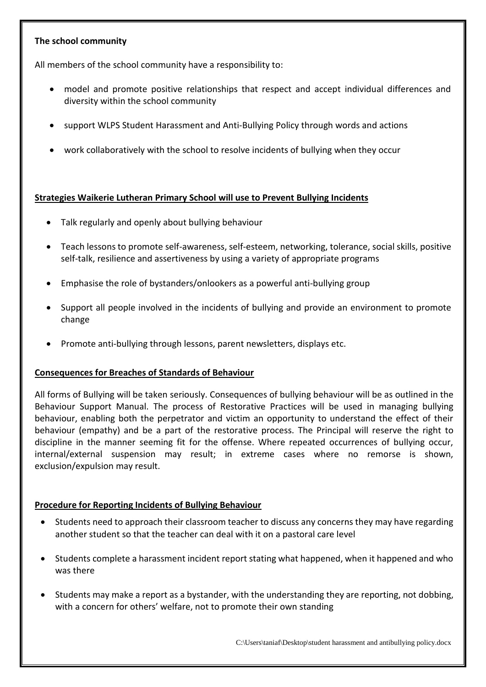## **The school community**

All members of the school community have a responsibility to:

- model and promote positive relationships that respect and accept individual differences and diversity within the school community
- support WLPS Student Harassment and Anti-Bullying Policy through words and actions
- work collaboratively with the school to resolve incidents of bullying when they occur

## **Strategies Waikerie Lutheran Primary School will use to Prevent Bullying Incidents**

- Talk regularly and openly about bullying behaviour
- Teach lessons to promote self-awareness, self-esteem, networking, tolerance, social skills, positive self-talk, resilience and assertiveness by using a variety of appropriate programs
- Emphasise the role of bystanders/onlookers as a powerful anti-bullying group
- Support all people involved in the incidents of bullying and provide an environment to promote change
- Promote anti-bullying through lessons, parent newsletters, displays etc.

#### **Consequences for Breaches of Standards of Behaviour**

All forms of Bullying will be taken seriously. Consequences of bullying behaviour will be as outlined in the Behaviour Support Manual. The process of Restorative Practices will be used in managing bullying behaviour, enabling both the perpetrator and victim an opportunity to understand the effect of their behaviour (empathy) and be a part of the restorative process. The Principal will reserve the right to discipline in the manner seeming fit for the offense. Where repeated occurrences of bullying occur, internal/external suspension may result; in extreme cases where no remorse is shown, exclusion/expulsion may result.

#### **Procedure for Reporting Incidents of Bullying Behaviour**

- Students need to approach their classroom teacher to discuss any concerns they may have regarding another student so that the teacher can deal with it on a pastoral care level
- Students complete a harassment incident report stating what happened, when it happened and who was there
- Students may make a report as a bystander, with the understanding they are reporting, not dobbing, with a concern for others' welfare, not to promote their own standing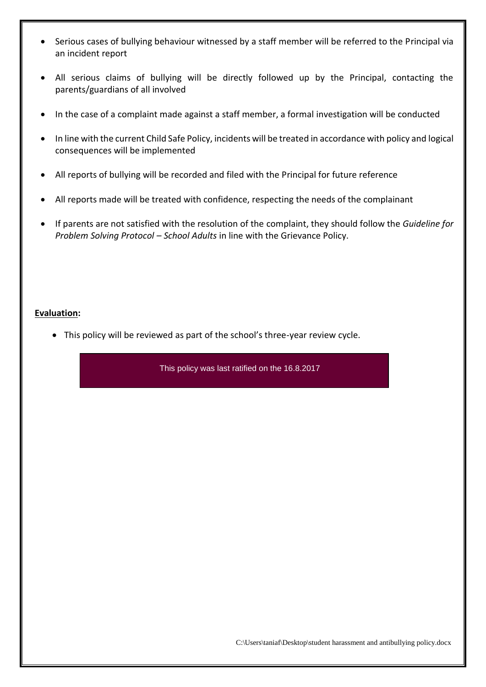- Serious cases of bullying behaviour witnessed by a staff member will be referred to the Principal via an incident report
- All serious claims of bullying will be directly followed up by the Principal, contacting the parents/guardians of all involved
- In the case of a complaint made against a staff member, a formal investigation will be conducted
- In line with the current Child Safe Policy, incidents will be treated in accordance with policy and logical consequences will be implemented
- All reports of bullying will be recorded and filed with the Principal for future reference
- All reports made will be treated with confidence, respecting the needs of the complainant
- If parents are not satisfied with the resolution of the complaint, they should follow the *Guideline for Problem Solving Protocol – School Adults* in line with the Grievance Policy.

#### **Evaluation:**

• This policy will be reviewed as part of the school's three-year review cycle.

This policy was last ratified on the 16.8.2017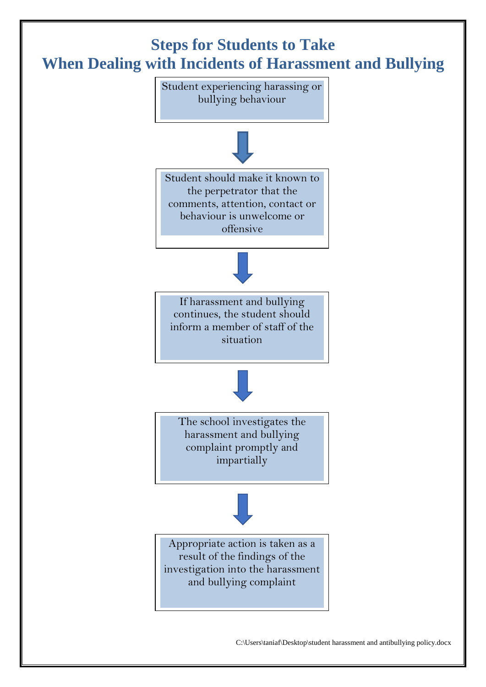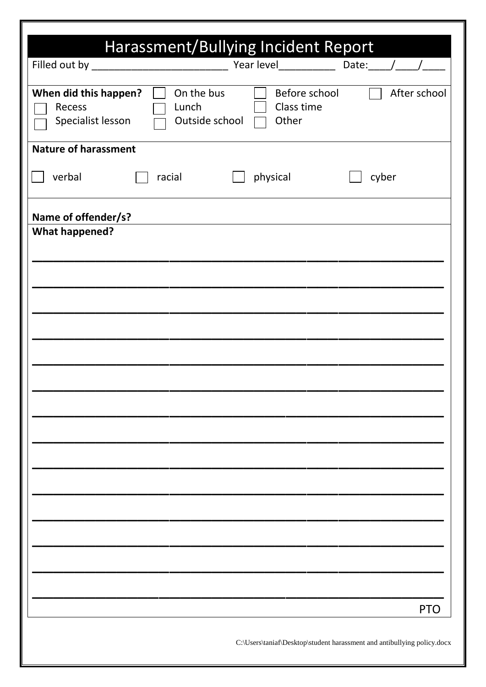|                                                      | Harassment/Bullying Incident Report   |                                                                         |       |              |
|------------------------------------------------------|---------------------------------------|-------------------------------------------------------------------------|-------|--------------|
|                                                      |                                       | Year level ________________ Date: _____/___                             |       |              |
| When did this happen?<br>Recess<br>Specialist lesson | On the bus<br>Lunch<br>Outside school | Before school<br>Class time<br>Other                                    |       | After school |
| <b>Nature of harassment</b>                          |                                       |                                                                         |       |              |
| verbal                                               | racial                                | physical                                                                | cyber |              |
| Name of offender/s?                                  |                                       |                                                                         |       |              |
| <b>What happened?</b>                                |                                       |                                                                         |       |              |
|                                                      |                                       |                                                                         |       |              |
|                                                      |                                       |                                                                         |       |              |
|                                                      |                                       |                                                                         |       |              |
|                                                      |                                       |                                                                         |       |              |
|                                                      |                                       |                                                                         |       |              |
|                                                      |                                       |                                                                         |       |              |
|                                                      |                                       |                                                                         |       |              |
|                                                      |                                       |                                                                         |       |              |
|                                                      |                                       |                                                                         |       |              |
|                                                      |                                       |                                                                         |       |              |
|                                                      |                                       |                                                                         |       |              |
|                                                      |                                       |                                                                         |       |              |
|                                                      |                                       |                                                                         |       |              |
|                                                      |                                       |                                                                         |       |              |
|                                                      |                                       |                                                                         |       |              |
|                                                      |                                       |                                                                         |       |              |
|                                                      |                                       |                                                                         |       | <b>PTO</b>   |
|                                                      |                                       | C:\Users\taniaf\Desktop\student harassment and antibullying policy.docx |       |              |